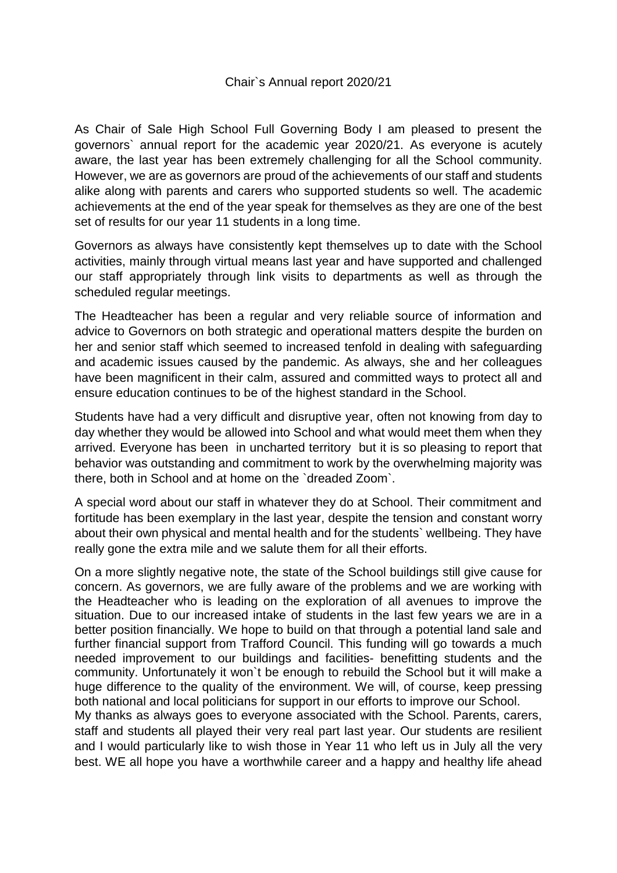## Chair`s Annual report 2020/21

As Chair of Sale High School Full Governing Body I am pleased to present the governors` annual report for the academic year 2020/21. As everyone is acutely aware, the last year has been extremely challenging for all the School community. However, we are as governors are proud of the achievements of our staff and students alike along with parents and carers who supported students so well. The academic achievements at the end of the year speak for themselves as they are one of the best set of results for our year 11 students in a long time.

Governors as always have consistently kept themselves up to date with the School activities, mainly through virtual means last year and have supported and challenged our staff appropriately through link visits to departments as well as through the scheduled regular meetings.

The Headteacher has been a regular and very reliable source of information and advice to Governors on both strategic and operational matters despite the burden on her and senior staff which seemed to increased tenfold in dealing with safeguarding and academic issues caused by the pandemic. As always, she and her colleagues have been magnificent in their calm, assured and committed ways to protect all and ensure education continues to be of the highest standard in the School.

Students have had a very difficult and disruptive year, often not knowing from day to day whether they would be allowed into School and what would meet them when they arrived. Everyone has been in uncharted territory but it is so pleasing to report that behavior was outstanding and commitment to work by the overwhelming majority was there, both in School and at home on the `dreaded Zoom`.

A special word about our staff in whatever they do at School. Their commitment and fortitude has been exemplary in the last year, despite the tension and constant worry about their own physical and mental health and for the students` wellbeing. They have really gone the extra mile and we salute them for all their efforts.

On a more slightly negative note, the state of the School buildings still give cause for concern. As governors, we are fully aware of the problems and we are working with the Headteacher who is leading on the exploration of all avenues to improve the situation. Due to our increased intake of students in the last few years we are in a better position financially. We hope to build on that through a potential land sale and further financial support from Trafford Council. This funding will go towards a much needed improvement to our buildings and facilities- benefitting students and the community. Unfortunately it won`t be enough to rebuild the School but it will make a huge difference to the quality of the environment. We will, of course, keep pressing both national and local politicians for support in our efforts to improve our School.

My thanks as always goes to everyone associated with the School. Parents, carers, staff and students all played their very real part last year. Our students are resilient and I would particularly like to wish those in Year 11 who left us in July all the very best. WE all hope you have a worthwhile career and a happy and healthy life ahead